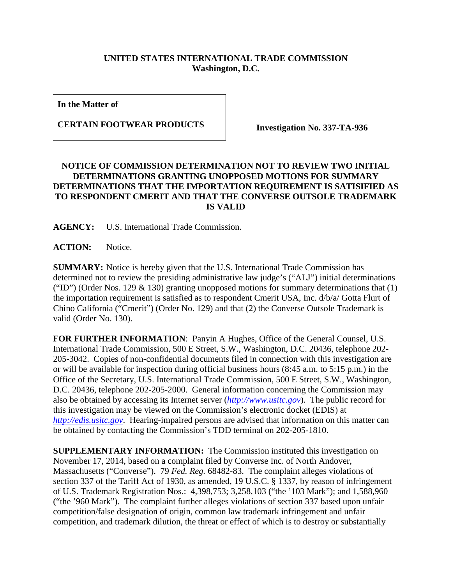## **UNITED STATES INTERNATIONAL TRADE COMMISSION Washington, D.C.**

**In the Matter of**

**CERTAIN FOOTWEAR PRODUCTS** Investigation No. 337-TA-936

## **NOTICE OF COMMISSION DETERMINATION NOT TO REVIEW TWO INITIAL DETERMINATIONS GRANTING UNOPPOSED MOTIONS FOR SUMMARY DETERMINATIONS THAT THE IMPORTATION REQUIREMENT IS SATISIFIED AS TO RESPONDENT CMERIT AND THAT THE CONVERSE OUTSOLE TRADEMARK IS VALID**

**AGENCY:** U.S. International Trade Commission.

**ACTION:** Notice.

**SUMMARY:** Notice is hereby given that the U.S. International Trade Commission has determined not to review the presiding administrative law judge's ("ALJ") initial determinations ("ID") (Order Nos. 129  $\&$  130) granting unopposed motions for summary determinations that (1) the importation requirement is satisfied as to respondent Cmerit USA, Inc. d/b/a/ Gotta Flurt of Chino California ("Cmerit") (Order No. 129) and that (2) the Converse Outsole Trademark is valid (Order No. 130).

**FOR FURTHER INFORMATION**: Panyin A Hughes, Office of the General Counsel, U.S. International Trade Commission, 500 E Street, S.W., Washington, D.C. 20436, telephone 202- 205-3042. Copies of non-confidential documents filed in connection with this investigation are or will be available for inspection during official business hours (8:45 a.m. to 5:15 p.m.) in the Office of the Secretary, U.S. International Trade Commission, 500 E Street, S.W., Washington, D.C. 20436, telephone 202-205-2000. General information concerning the Commission may also be obtained by accessing its Internet server (*[http://www.usitc.gov](http://www.usitc.gov/)*). The public record for this investigation may be viewed on the Commission's electronic docket (EDIS) at *[http://edis.usitc.gov](http://edis.usitc.gov/)*. Hearing-impaired persons are advised that information on this matter can be obtained by contacting the Commission's TDD terminal on 202-205-1810.

**SUPPLEMENTARY INFORMATION:** The Commission instituted this investigation on November 17, 2014, based on a complaint filed by Converse Inc. of North Andover, Massachusetts ("Converse"). 79 *Fed. Reg.* 68482-83. The complaint alleges violations of section 337 of the Tariff Act of 1930, as amended, 19 U.S.C. § 1337, by reason of infringement of U.S. Trademark Registration Nos.: 4,398,753; 3,258,103 ("the '103 Mark"); and 1,588,960 ("the '960 Mark"). The complaint further alleges violations of section 337 based upon unfair competition/false designation of origin, common law trademark infringement and unfair competition, and trademark dilution, the threat or effect of which is to destroy or substantially